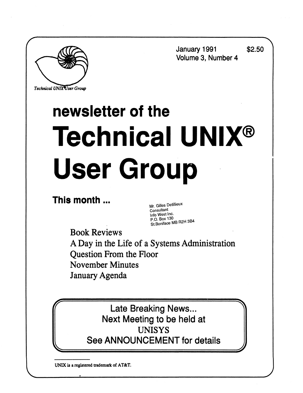**January 1991 \$2.50 Volume 3, Number 4** 

*Technical UNIXVser Group* 

# **newsletter of the Technical UNIX® User Group**

**This month ...** 

**Mr. Gilles Detillieux**<br>Consultant **Info West Inc. Info West Inc. X <sup>P</sup>StC a-<sup>0</sup>MBR2H3B4** 

**Book Reviews A Day in the Life of a Systems Administration Question From the Floor November Minutes January Agenda** 

> Late Breaking News... Next Meeting to be held at UNISYS See ANNOUNCEMENT for details

**UNIX is a registered trademark of AT&T.**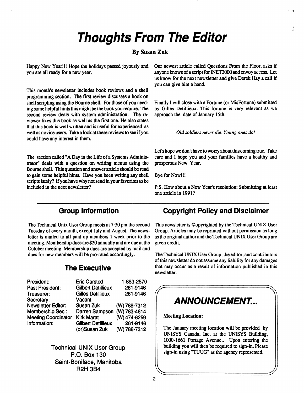## **Thoughts From The Editor**

#### **By Susan Zuk**

Happy New Year!!! Hope the holidays passed joyously and you are all ready for a new year.

This month's newsletter includes book reviews and a shell programming section. The first review discusses a book on shell scripting using the Bourne shell. For those of you needing some helpful hints this might be the book you require. The second review deals with system administration. The reviewer likes this book as well as the first one. He also states that this book is well written and is useful for experienced as well as novice users. Take a look at these reviews to see if you could have any interest in them.

The section called "A Day in the Life of a Systems Administrator" deals with a question on writing menus using the Bourne shell. This question and answer article should be read to gain some helpful hints. Have you been writing any shell scripts lately? If you have why not send in your favorites to be included in the next newsletter?

Our newest article called Questions From the Floor, asks if anyone knows of a script for iNET2000 and envoy access. Let us know for the next newsletter and give Derek Hay a call if you can give him a hand.

Finally I will close with a Fortune (or MisFortune) submitted by Gilles Detillieux. This fortune is very relevant as we approach the date of January 15th.

*Old soldiers never die. Young ones do!* 

Let's hope we don't have to worry about this coming true. Take care and I hope you and your families have a healthy and prosperous New Year.

Bye for Now!!!

P.S. How about a New Year's resolution: Submitting at least one article in 1991?

#### **Group Information**

The Technical Unix User Group meets at 7:30 pm the second Tuesday of every month, except July and August. The newsletter is mailed to all paid up members 1 week prior to the meeting. Membership dues are \$20 annually and are due at the October meeting. Membership dues are accepted by mail and dues for new members will be pro-rated accordingly.

### **The Executive**

| President:                 | <b>Eric Carsted</b>       | 1-883-2570   |
|----------------------------|---------------------------|--------------|
| <b>Past President:</b>     | <b>Gilbert Detillieux</b> | 261-9146     |
| Treasurer:                 | <b>Gilles Detillieux</b>  | 261-9146     |
| Secretary:                 | Vacant                    |              |
| <b>Newsletter Editor:</b>  | Susan Zuk                 | (W) 788-7312 |
| <b>Membership Sec.:</b>    | Darren Sampson            | (W) 783-4614 |
| <b>Meeting Coordinator</b> | <b>Kirk Marat</b>         | (W) 474-6259 |
| Information:               | <b>Gilbert Detillieux</b> | 261-9146     |
|                            | (or)Susan Zuk             | (W) 788-7312 |

**Technical UNIX User Group P.O. Box 130 Saint-Boniface, Manitoba R2H 3B4** 

## **Copyright Policy and Disclaimer**

This newsletter is ©opyrighted by the Technical UNIX User Group. Articles may be reprinted without permission as long as the original author and the Technical UNIX User Group are given credit.

The Technical UNIX User Group, the editor, and contributors of this newsletter do not assume any liability for any damages that may occur as a result of information published in this newsletter.

## **ANNOUNCEMENT...**

**= \** 

**Meeting Location:** 

 $\parallel$ 

The January meeting location will be provided by UNISYS Canada, Inc. at the UNISYS Building, 1000-1661 Portage Avenue.. Upon entering the building you will then be required to sign-in. Please sign-in using "TUUG" as the agency represented.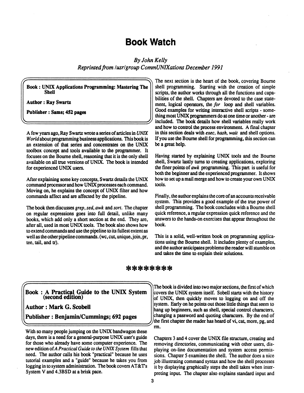## **Book Watch**

*By John Kelly Reprinted from lusrlgroup CommUNIXations December 1991* 

**(Book: UNIX Applications Programming: Mastering The ) SbeU** 

**Author: Ray Swartz** 

**^** 

**Publisher: Sams; 452 pages** 

A few years ago, Ray Swartz wrote a series of articles in *UNIX World* about programming business applications. This book is an extension of that series and concentrates on the UNIX toolbox concept and tools available to the programmer. It focuses on the Bourne shell, reasoning that it is the only shell available on all true versions of UNIX. The book is intended for experienced UNIX users.

After explaining some key concepts, Swartz details the UNIX command processor and how UNIX processes each command. Moving on, he explains the concept of UNIX filter and how commands affect and are affected by the pipeline.

The book then discusses *grep, sed, awk* and *sort.* The chapter on regular expressions goes into full detail, unlike many books, which add only a short section at the end. They are, after all, used in most UNIX tools. The book also shows how to extend commands and use the pipeline to its fullest extent as well as the other pipeline commands, (wc, cut, unique, join, pr, tee, tail, and tr).

The next section is the heart of the book, covering Bourne shell programming. Starting with the creation of simple scripts, the author works through all the functions and capabilities of the shell. Chapters are devoted to the case statement, logical operators, the *for* loop and shell variables. Good examples for writing interactive shell scripts - something most UNIX programmers do at one time or another - are included. The book details how shell variables really work and how to control the process environment. A final chapter in this section deals with *exec, hash, wait* and shell options. If you use the Bourne shell for programming, this section can be a great help.

Having started by explaining UNIX tools and the Bourne shell, Swartz lastly turns to creating applications, exploring the finer points of *awk* programming. This part is useful for both the beginner and the experienced programmer. It shows how to set up a mail merge and how to create your own UNIX tools.

Finally, the author explains the core of an accounts receivable system. This provides a good example of the true power of shell programming. The book concludes with a Bourne shell quick reference, a regular expression quick reference and the answers to the hands-on exercises that appear throughout the book.

This is a solid, well-written book on programming applications using the Bourne shell. It includes plenty of examples, and the author anticipates problems the reader will stumble on and takes the time to explain their solutions.

*^m ^M* **\*ft\* \*A^ t^> ^ft\* •! # %1# #J» #gt #| \*** *Tf\** **#J5 #J» #J» #J%** 

 $\left(\begin{matrix} \end{matrix}\right)$  **Book** : A Practical Guide to the UNIX System  $\left(\begin{matrix} \end{matrix}\right)$ **(second edition)** 

**Author: Mark G. Scobeli** 

**^** 

**Publisher: Benjamin/Cummings; 692 pages** 

With so many people jumping on the UNIX bandwagon these days, there is a need for a general-purpose UNIX user's guide for those who already have some computer experience. The **new edition of A** *Practical Guide to the UNIX System* **fills that**  need. The author calls his book "practical" because he uses tutorial examples and a "guide" because he takes you from logging in to system administration. The book covers AT&Ts System V and 4.3BSD at a brisk pace.

the first chapter the reader has heard of vi, cat, more, pg, and The book is divided into two major sections, the first of which covers the UNIX system itself. Sobell starts with the history |of UNIX, then quickly moves to logging on and off the system. Early on he points out those little things that seem to hang up beginners, such as shell, special control characters, changing a password and quoting characters. By the end of rm.

Chapters 3 and 4 cover the UNIX file structure, creating and removing directories, communicating with other users, displaying on-line documentation and system access permissions. Chapter 5 examines the shell. The author does a nice job illustrating command syntax and how the shell processes it by displaying graphically steps the shell takes when interpreting input. The chapter also explains standard input and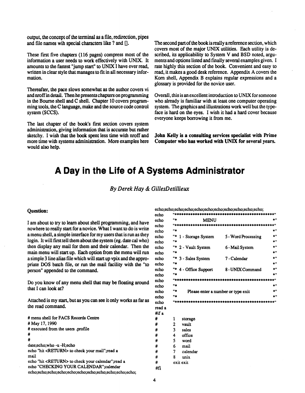output, the concept of the terminal as a file, redirection, pipes and file names wih special characters like ? and [].

These first five chapters (116 pages) compress most of the information a user needs to work effectively with UNIX. It amounts to the fastest "jump start" to UNIX I have ever read, written in clear style that manages to fit in all necessary information.

Thereafter, the pace slows somewhat as the author covers vi and nroff in detail. Then he presents chapters on programming in the Bourne shell and C shell. Chapter 10 covers programming tools, the C language, make and the source code control system (SCCS).

The last chapter of the book's first section covers system administration, giving information that is accurate but rather sketchy. I wish that the book spent less time with nroff and more time with systems administration. More examples here would also help.

The second part of the book is really a reference section, which covers most of the major UNIX utilities. Each utility is described, its applicability to System V and BSD noted, arguments and options listed and finally several examples given. I rate highly this section of the book. Convenient and easy to read, it makes a good desk reference. Appendix A covers the Korn shell, Appendix B explains regular expressions and a glossary is provided for the novice user.

Overall, this is an excellent introduction to UNIX for someone who already is familiar with at least one computer operating system. The graphics and illustrations work well but the typeface is hard on the eyes. I wish it had a hard cover because everyone keeps borrowing it from me.

**John Kelly is a consulting services specialist with Prime Computer who has worked with UNIX for several years.** 

## **A Day in the Life of A Systems Administrator**

*By Derek Hay & GillesDetillieux* 

#### **Question:**

I am about to try to learn about shell programming, and have nowhere to really start for a novice. What I want to do is write a menu shell, a simple interface for my users that is run as they login. It will first tell them about the system (eg. date cal who) then display any mail for them and their calendar. Then the main menu will start up. Each option from the menu will run a simple 3 line alias file which will start up vpix and the appropriate DOS batch file, or run the mail facility with the "to person" appended to the command.

Do you know of any menu shell that may be floating around that I can look at?

Attached is my start, but as you can see it only works as far as the read command.

**# menu shell for FACS Records Centre # May 17,1990 # executed from the users .profile # # date;echo;who -u -H;echo**  echo "hit <RETURN> to check your mail";read a **mail echo "hit <RETURN> to check your calendar" ;read a echo "CHECKING YOUR CALENDAR<sup>H</sup> ;calendar echo;echo;echo;echo;echo;echo;echo;echo;echo;echo;echo;**  **echo;echo;echo;echo;echo;echo;echo;echo;echo;echo;echo;** 

| echo   |                |                                    | ********************************    |              |
|--------|----------------|------------------------------------|-------------------------------------|--------------|
| echo   | <b>H</b> 22    | <b>MENU</b>                        |                                     | 出刊           |
| echo   |                |                                    |                                     |              |
| echo   | $\mathbf{u}$   |                                    |                                     | 22 H         |
| echo   | <b>H</b> 25    | 1 - Storage System                 | 5 - Word Processing                 | *"           |
| echo   | <b>H</b> 25    |                                    |                                     | ***          |
| echo   | <b>H</b> *     | 2 - Vault System                   | 6 - Mail System                     | *"           |
| echo   | H de           |                                    |                                     | ۰۱ پیر       |
| echo   |                | "* 3 - Sales System                | 7 - Calendar                        | * "          |
| echo   | <b>H</b> 20    |                                    |                                     | * "          |
| echo   | <b>H</b> 20    | 4 - Office Support                 | 8 - UNIX Command                    | $+1$         |
| echo   | <b>H</b> 26    |                                    |                                     | ا پ          |
| echo   |                | **********                         | *********************************** |              |
| echo   | <b>** als</b>  |                                    |                                     | <b>de 11</b> |
| echo   | <b>** ab</b>   | Please enter a number or type exit |                                     | * *          |
| echo   | <b>H</b> 26    |                                    |                                     | sir 11       |
| echo   |                |                                    | "" 地球球球球球球球球球球球球球球球球球球球球球球球球球球球球球球  |              |
| read a |                |                                    |                                     |              |
| #if a  |                |                                    |                                     |              |
| #      | 1              | storage                            |                                     |              |
| #      | $\overline{c}$ | vault                              |                                     |              |
| #      | 3              | sales                              |                                     |              |
| #      | 4              | office                             |                                     |              |
| #      | 5              | word                               |                                     |              |
| #      | 6              | mail                               |                                     |              |
| #      | 7              | calendar                           |                                     |              |
| #      | 8              | unix                               |                                     |              |
| #      |                | exit exit                          |                                     |              |
| #fi    |                |                                    |                                     |              |
|        |                |                                    |                                     |              |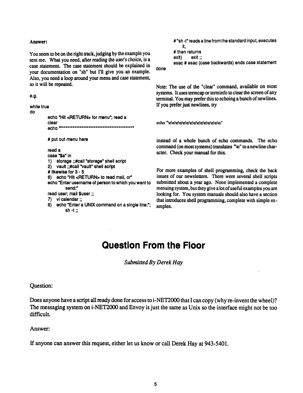#### **Answer:**

**You seem to be on the right track, judging by the example you sent me. What you need, after reading the user's choice, is a case statement. The case statement should be explained in your documentation on "sh" but I'll give you an example. Also, you need a loop around your menu and case statement, so it will be repeated.** 

```
e.g.
```

```
while true 
do
```

```
echo "Hit <RETURN> for menu"; read a 
clear 
echo' , N#**********************#********##******* N
# put out menu here 
read a 
case *$a" in 
1) storage ;;#call "storage" shell script 
2) vault ;;#call "vault" shell script 
# like wise for 3 - 5
```

```
6) echo "Hit <RETURN> to read mail, or
```

```
echo "Enter username of person to which you want to 
         send:"
```

```
read user; mail $user;;
```

```
7) vi calendar;;
```
**8) echo "Enter a UNIX command on a single line:"; sh -t;;** 

```
# "sh -t" reads a line from the standard input, executes 
    it, 
# then returns 
exit) exit;; 
esac # esac (case backwards) ends case statement
```
**done** 

**Note: The use of the "clear" command, available on most systems. It uses termcap or terminfo to clear the screen of any terminal. You may prefer this to echoing a bunch of newlines. If you prefer just newlines, try** 

**ech o \*>aNa>a\a>aNa\aNnNn>aNaVnNnNn^** 

**instead of a whole bunch of echo commands. The echo**  command (on most systems) translates "\n" to a newline char**acter. Check your manual for this.** 

**For more examples of shell programming, check the back issues of our newsletters. There were several shell scripts submitted about a year ago. None implemented a complete menuing system, but they give a lot of useful examples you are looking for. You system manuals should also have a section that introduces shell programming, complete with simple examples.** 

## **Question From the Floor**

*Submitted By Derek Hay* 

**Question:** 

**Does anyone have a script all ready done for access to i-NET2000 that I can copy (why re-invent the wheel)? The messaging system on i-NET2000 and Envoy is just the same as Unix so the interface might not be too difficult.** 

**Answer:** 

**If anyone can answer this request, either let us know or call Derek Hay at 943-5401.**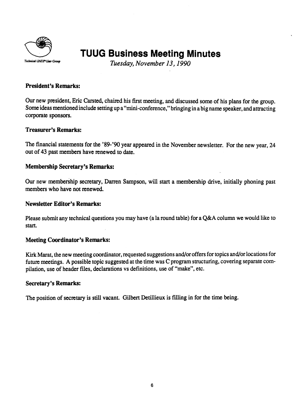

## **TUUG Business Meeting Minutes**

*Tuesday, November 13,1990* 

#### **President's Remarks:**

Our new president, Eric Carsted, chaired his first meeting, and discussed some of his plans for the group. Some ideas mentioned include setting up a "mini-conference," bringing in a big name speaker, and attracting corporate sponsors.

#### **Treasurer's Remarks:**

The financial statements for the '89-'90 year appeared in the November newsletter. For the new year, 24 out of 43 past members have renewed to date.

#### **Membership Secretary's Remarks:**

Our new membership secretary, Darren Sampson, will start a membership drive, initially phoning past members who have not renewed.

#### **Newsletter Editor's Remarks:**

Please submit any technical questions you may have (a la round table) for a Q&A column we would like to start.

#### **Meeting Coordinator's Remarks:**

Kirk Marat, the new meeting coordinator, requested suggestions and/or offers for topics and/or locations for future meetings. A possible topic suggested at the time was C program structuring, covering separate compilation, use of header files, declarations vs definitions, use of "make", etc.

#### **Secretary's Remarks:**

The position of secretary is still vacant. Gilbert Detillieux is filling in for the time being.